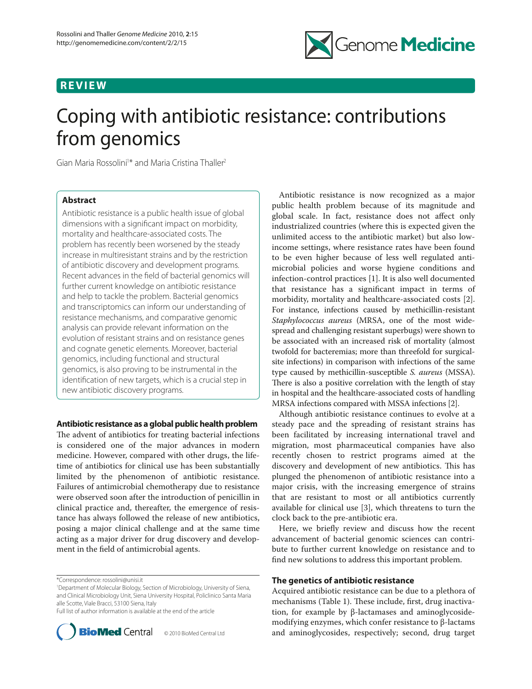# **REVIEW**



# Coping with antibiotic resistance: contributions from genomics

Gian Maria Rossolini<sup>1\*</sup> and Maria Cristina Thaller<sup>2</sup>

# **Abstract**

Antibiotic resistance is a public health issue of global dimensions with a significant impact on morbidity, mortality and healthcare-associated costs. The problem has recently been worsened by the steady increase in multiresistant strains and by the restriction of antibiotic discovery and development programs. Recent advances in the field of bacterial genomics will further current knowledge on antibiotic resistance and help to tackle the problem. Bacterial genomics and transcriptomics can inform our understanding of resistance mechanisms, and comparative genomic analysis can provide relevant information on the evolution of resistant strains and on resistance genes and cognate genetic elements. Moreover, bacterial genomics, including functional and structural genomics, is also proving to be instrumental in the identification of new targets, which is a crucial step in new antibiotic discovery programs.

# **Antibiotic resistance as a global public health problem**

The advent of antibiotics for treating bacterial infections is considered one of the major advances in modern medicine. However, compared with other drugs, the lifetime of antibiotics for clinical use has been substantially limited by the phenomenon of antibiotic resistance. Failures of antimicrobial chemotherapy due to resistance were observed soon after the introduction of penicillin in clinical practice and, thereafter, the emergence of resistance has always followed the release of new antibiotics, posing a major clinical challenge and at the same time acting as a major driver for drug discovery and development in the field of antimicrobial agents.

<sup>1</sup> Department of Molecular Biology, Section of Microbiology, University of Siena, and Clinical Microbiology Unit, Siena University Hospital, Policlinico Santa Maria alle Scotte, Viale Bracci, 53100 Siena, Italy Full list of author information is available at the end of the article





Antibiotic resistance is now recognized as a major public health problem because of its magnitude and global scale. In fact, resistance does not affect only industrialized countries (where this is expected given the unlimited access to the antibiotic market) but also lowincome settings, where resistance rates have been found to be even higher because of less well regulated antimicrobial policies and worse hygiene conditions and infection-control practices [1]. It is also well documented that resistance has a significant impact in terms of morbidity, mortality and healthcare-associated costs [2]. For instance, infections caused by methicillin-resistant *Staphylococcus aureus* (MRSA, one of the most widespread and challenging resistant superbugs) were shown to be associated with an increased risk of mortality (almost twofold for bacteremias; more than threefold for surgicalsite infections) in comparison with infections of the same type caused by methicillin-susceptible *S. aureus* (MSSA). There is also a positive correlation with the length of stay in hospital and the healthcare-associated costs of handling MRSA infections compared with MSSA infections [2].

Although antibiotic resistance continues to evolve at a steady pace and the spreading of resistant strains has been facilitated by increasing international travel and migration, most pharmaceutical companies have also recently chosen to restrict programs aimed at the discovery and development of new antibiotics. This has plunged the phenomenon of antibiotic resistance into a major crisis, with the increasing emergence of strains that are resistant to most or all antibiotics currently available for clinical use [3], which threatens to turn the clock back to the pre-antibiotic era.

Here, we briefly review and discuss how the recent advancement of bacterial genomic sciences can contribute to further current knowledge on resistance and to find new solutions to address this important problem.

## **The genetics of antibiotic resistance**

Acquired antibiotic resistance can be due to a plethora of mechanisms (Table 1). These include, first, drug inactivation, for example by β-lactamases and aminoglycosidemodifying enzymes, which confer resistance to β-lactams and aminoglycosides, respectively; second, drug target

<sup>\*</sup>Correspondence: rossolini@unisi.it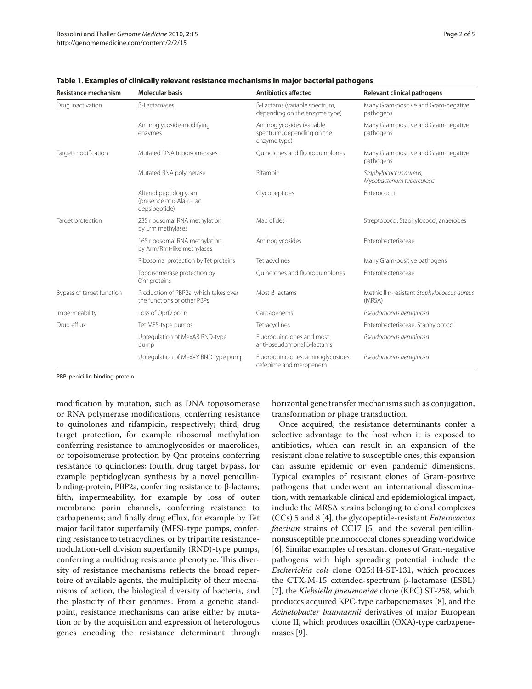| Resistance mechanism      | <b>Molecular basis</b>                                               | <b>Antibiotics affected</b>                                             | <b>Relevant clinical pathogens</b>                    |
|---------------------------|----------------------------------------------------------------------|-------------------------------------------------------------------------|-------------------------------------------------------|
| Drug inactivation         | <b>B-Lactamases</b>                                                  | β-Lactams (variable spectrum,<br>depending on the enzyme type)          | Many Gram-positive and Gram-negative<br>pathogens     |
|                           | Aminoglycoside-modifying<br>enzymes                                  | Aminoglycosides (variable<br>spectrum, depending on the<br>enzyme type) | Many Gram-positive and Gram-negative<br>pathogens     |
| Target modification       | Mutated DNA topoisomerases                                           | Quinolones and fluoroquinolones                                         | Many Gram-positive and Gram-negative<br>pathogens     |
|                           | Mutated RNA polymerase                                               | Rifampin                                                                | Staphylococcus aureus,<br>Mycobacterium tuberculosis  |
|                           | Altered peptidoglycan<br>(presence of p-Ala-p-Lac<br>depsipeptide)   | Glycopeptides                                                           | Enterococci                                           |
| Target protection         | 23S ribosomal RNA methylation<br>by Erm methylases                   | Macrolides                                                              | Streptococci, Staphylococci, anaerobes                |
|                           | 16S ribosomal RNA methylation<br>by Arm/Rmt-like methylases          | Aminoglycosides                                                         | Enterobacteriaceae                                    |
|                           | Ribosomal protection by Tet proteins                                 | Tetracyclines                                                           | Many Gram-positive pathogens                          |
|                           | Topoisomerase protection by<br>Qnr proteins                          | Quinolones and fluoroquinolones                                         | Enterobacteriaceae                                    |
| Bypass of target function | Production of PBP2a, which takes over<br>the functions of other PBPs | Most β-lactams                                                          | Methicillin-resistant Staphylococcus aureus<br>(MRSA) |
| Impermeability            | Loss of OprD porin                                                   | Carbapenems                                                             | Pseudomonas aeruginosa                                |
| Drug efflux               | Tet MFS-type pumps                                                   | Tetracyclines                                                           | Enterobacteriaceae, Staphylococci                     |
|                           | Upregulation of MexAB RND-type<br>pump                               | Fluoroguinolones and most<br>anti-pseudomonal B-lactams                 | Pseudomonas aeruginosa                                |
|                           | Upregulation of MexXY RND type pump                                  | Fluoroquinolones, aminoglycosides,<br>cefepime and meropenem            | Pseudomonas aeruginosa                                |

**Table 1. Examples of clinically relevant resistance mechanisms in major bacterial pathogens**

PBP: penicillin-binding-protein.

modification by mutation, such as DNA topoisomerase or RNA polymerase modifications, conferring resistance to quinolones and rifampicin, respectively; third, drug target protection, for example ribosomal methylation conferring resistance to aminoglycosides or macrolides, or topoisomerase protection by Qnr proteins conferring resistance to quinolones; fourth, drug target bypass, for example peptidoglycan synthesis by a novel penicillinbinding-protein, PBP2a, conferring resistance to β-lactams; fifth, impermeability, for example by loss of outer membrane porin channels, conferring resistance to carbapenems; and finally drug efflux, for example by Tet major facilitator superfamily (MFS)-type pumps, conferring resistance to tetracyclines, or by tripartite resistancenodulation-cell division superfamily (RND)-type pumps, conferring a multidrug resistance phenotype. This diversity of resistance mechanisms reflects the broad repertoire of available agents, the multiplicity of their mechanisms of action, the biological diversity of bacteria, and the plasticity of their genomes. From a genetic standpoint, resistance mechanisms can arise either by mutation or by the acquisition and expression of heterologous genes encoding the resistance determinant through horizontal gene transfer mechanisms such as conjugation, transformation or phage transduction.

Once acquired, the resistance determinants confer a selective advantage to the host when it is exposed to antibiotics, which can result in an expansion of the resistant clone relative to susceptible ones; this expansion can assume epidemic or even pandemic dimensions. Typical examples of resistant clones of Gram-positive pathogens that underwent an international dissemination, with remarkable clinical and epidemiological impact, include the MRSA strains belonging to clonal complexes (CCs) 5 and 8 [4], the glycopeptide-resistant *Enterococcus faecium* strains of CC17 [5] and the several penicillinnonsusceptible pneumococcal clones spreading worldwide [6]. Similar examples of resistant clones of Gram-negative pathogens with high spreading potential include the *Escherichia coli* clone O25:H4-ST-131, which produces the CTX-M-15 extended-spectrum β-lactamase (ESBL) [7], the *Klebsiella pneumoniae* clone (KPC) ST-258, which produces acquired KPC-type carbapenemases [8], and the *Acinetobacter baumannii* derivatives of major European clone II, which produces oxacillin (OXA)-type carbapenemases [9].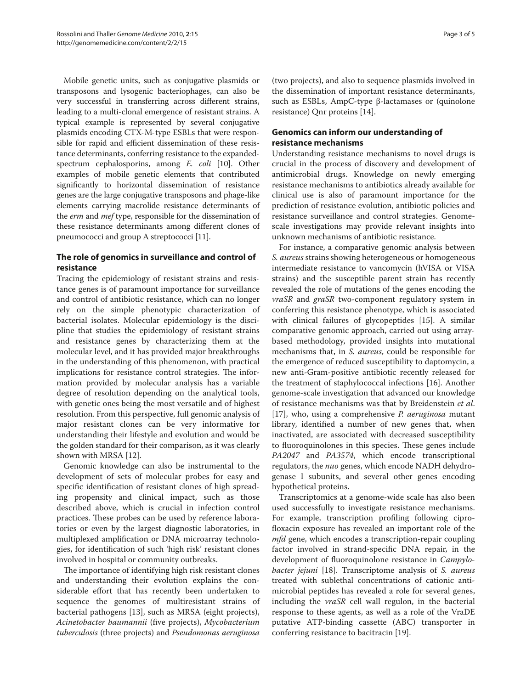Mobile genetic units, such as conjugative plasmids or transposons and lysogenic bacteriophages, can also be very successful in transferring across different strains, leading to a multi-clonal emergence of resistant strains. A typical example is represented by several conjugative plasmids encoding CTX-M-type ESBLs that were responsible for rapid and efficient dissemination of these resistance determinants, conferring resistance to the expandedspectrum cephalosporins, among *E. coli* [10]. Other examples of mobile genetic elements that contributed significantly to horizontal dissemination of resistance genes are the large conjugative transposons and phage-like elements carrying macrolide resistance determinants of the *erm* and *mef* type, responsible for the dissemination of these resistance determinants among different clones of pneumococci and group A streptococci [11].

# **The role of genomics in surveillance and control of resistance**

Tracing the epidemiology of resistant strains and resistance genes is of paramount importance for surveillance and control of antibiotic resistance, which can no longer rely on the simple phenotypic characterization of bacterial isolates. Molecular epidemiology is the discipline that studies the epidemiology of resistant strains and resistance genes by characterizing them at the molecular level, and it has provided major breakthroughs in the understanding of this phenomenon, with practical implications for resistance control strategies. The information provided by molecular analysis has a variable degree of resolution depending on the analytical tools, with genetic ones being the most versatile and of highest resolution. From this perspective, full genomic analysis of major resistant clones can be very informative for understanding their lifestyle and evolution and would be the golden standard for their comparison, as it was clearly shown with MRSA [12].

Genomic knowledge can also be instrumental to the development of sets of molecular probes for easy and specific identification of resistant clones of high spreading propensity and clinical impact, such as those described above, which is crucial in infection control practices. These probes can be used by reference laboratories or even by the largest diagnostic laboratories, in multiplexed amplification or DNA microarray technologies, for identification of such 'high risk' resistant clones involved in hospital or community outbreaks.

The importance of identifying high risk resistant clones and understanding their evolution explains the considerable effort that has recently been undertaken to sequence the genomes of multiresistant strains of bacterial pathogens [13], such as MRSA (eight projects), *Acinetobacter baumannii* (five projects), *Mycobacterium tuberculosis* (three projects) and *Pseudomonas aeruginosa* (two projects), and also to sequence plasmids involved in the dissemination of important resistance determinants, such as ESBLs, AmpC-type β-lactamases or (quinolone resistance) Qnr proteins [14].

# **Genomics can inform our understanding of resistance mechanisms**

Understanding resistance mechanisms to novel drugs is crucial in the process of discovery and development of antimicrobial drugs. Knowledge on newly emerging resistance mechanisms to antibiotics already available for clinical use is also of paramount importance for the prediction of resistance evolution, antibiotic policies and resistance surveillance and control strategies. Genomescale investigations may provide relevant insights into unknown mechanisms of antibiotic resistance.

For instance, a comparative genomic analysis between *S. aureus* strains showing heterogeneous or homogeneous intermediate resistance to vancomycin (hVISA or VISA strains) and the susceptible parent strain has recently revealed the role of mutations of the genes encoding the *vraSR* and *graSR* two-component regulatory system in conferring this resistance phenotype, which is associated with clinical failures of glycopeptides [15]. A similar comparative genomic approach, carried out using arraybased methodology, provided insights into mutational mechanisms that, in *S. aureus*, could be responsible for the emergence of reduced susceptibility to daptomycin, a new anti-Gram-positive antibiotic recently released for the treatment of staphylococcal infections [16]. Another genome-scale investigation that advanced our knowledge of resistance mechanisms was that by Breidenstein *et al*. [17], who, using a comprehensive *P. aeruginosa* mutant library, identified a number of new genes that, when inactivated, are associated with decreased susceptibility to fluoroquinolones in this species. These genes include *PA2047* and *PA3574*, which encode transcriptional regulators, the *nuo* genes, which encode NADH dehydrogenase I subunits, and several other genes encoding hypothetical proteins.

Transcriptomics at a genome-wide scale has also been used successfully to investigate resistance mechanisms. For example, transcription profiling following ciprofloxacin exposure has revealed an important role of the *mfd* gene, which encodes a transcription-repair coupling factor involved in strand-specific DNA repair, in the development of fluoroquinolone resistance in *Campylobacter jejuni* [18]. Transcriptome analysis of *S. aureus* treated with sublethal concentrations of cationic antimicrobial peptides has revealed a role for several genes, including the *vraSR* cell wall regulon, in the bacterial response to these agents, as well as a role of the VraDE putative ATP-binding cassette (ABC) transporter in conferring resistance to bacitracin [19].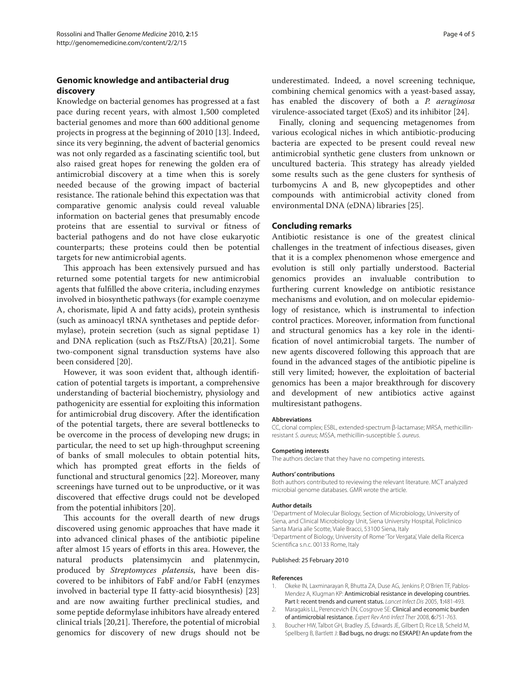# **Genomic knowledge and antibacterial drug discovery**

Knowledge on bacterial genomes has progressed at a fast pace during recent years, with almost 1,500 completed bacterial genomes and more than 600 additional genome projects in progress at the beginning of 2010 [13]. Indeed, since its very beginning, the advent of bacterial genomics was not only regarded as a fascinating scientific tool, but also raised great hopes for renewing the golden era of antimicrobial discovery at a time when this is sorely needed because of the growing impact of bacterial resistance. The rationale behind this expectation was that comparative genomic analysis could reveal valuable information on bacterial genes that presumably encode proteins that are essential to survival or fitness of bacterial pathogens and do not have close eukaryotic counterparts; these proteins could then be potential targets for new antimicrobial agents.

This approach has been extensively pursued and has returned some potential targets for new antimicrobial agents that fulfilled the above criteria, including enzymes involved in biosynthetic pathways (for example coenzyme A, chorismate, lipid A and fatty acids), protein synthesis (such as aminoacyl tRNA synthetases and peptide deformylase), protein secretion (such as signal peptidase 1) and DNA replication (such as FtsZ/FtsA) [20,21]. Some two-component signal transduction systems have also been considered [20].

However, it was soon evident that, although identification of potential targets is important, a comprehensive understanding of bacterial biochemistry, physiology and pathogenicity are essential for exploiting this information for antimicrobial drug discovery. After the identification of the potential targets, there are several bottlenecks to be overcome in the process of developing new drugs; in particular, the need to set up high-throughput screening of banks of small molecules to obtain potential hits, which has prompted great efforts in the fields of functional and structural genomics [22]. Moreover, many screenings have turned out to be unproductive, or it was discovered that effective drugs could not be developed from the potential inhibitors [20].

This accounts for the overall dearth of new drugs discovered using genomic approaches that have made it into advanced clinical phases of the antibiotic pipeline after almost 15 years of efforts in this area. However, the natural products platensimycin and platenmycin, produced by *Streptomyces platensis*, have been discovered to be inhibitors of FabF and/or FabH (enzymes involved in bacterial type II fatty-acid biosynthesis) [23] and are now awaiting further preclinical studies, and some peptide deformylase inhibitors have already entered clinical trials [20,21]. Therefore, the potential of microbial genomics for discovery of new drugs should not be

underestimated. Indeed, a novel screening technique, combining chemical genomics with a yeast-based assay, has enabled the discovery of both a *P. aeruginosa*  virulence-associated target (ExoS) and its inhibitor [24].

Finally, cloning and sequencing metagenomes from various ecological niches in which antibiotic-producing bacteria are expected to be present could reveal new antimicrobial synthetic gene clusters from unknown or uncultured bacteria. This strategy has already yielded some results such as the gene clusters for synthesis of turbomycins A and B, new glycopeptides and other compounds with antimicrobial activity cloned from environmental DNA (eDNA) libraries [25].

## **Concluding remarks**

Antibiotic resistance is one of the greatest clinical challenges in the treatment of infectious diseases, given that it is a complex phenomenon whose emergence and evolution is still only partially understood. Bacterial genomics provides an invaluable contribution to furthering current knowledge on antibiotic resistance mechanisms and evolution, and on molecular epidemiology of resistance, which is instrumental to infection control practices. Moreover, information from functional and structural genomics has a key role in the identification of novel antimicrobial targets. The number of new agents discovered following this approach that are found in the advanced stages of the antibiotic pipeline is still very limited; however, the exploitation of bacterial genomics has been a major breakthrough for discovery and development of new antibiotics active against multiresistant pathogens.

## **Abbreviations**

CC, clonal complex; ESBL, extended-spectrum β-lactamase; MRSA, methicillinresistant *S. aureus*; MSSA, methicillin-susceptible *S. aureus*.

## **Competing interests**

The authors declare that they have no competing interests.

## **Authors' contributions**

Both authors contributed to reviewing the relevant literature. MCT analyzed microbial genome databases. GMR wrote the article.

## **Author details**

1 Department of Molecular Biology, Section of Microbiology, University of Siena, and Clinical Microbiology Unit, Siena University Hospital, Policlinico Santa Maria alle Scotte, Viale Bracci, 53100 Siena, Italy 2 Department of Biology, University of Rome 'Tor Vergata', Viale della Ricerca Scientifica s.n.c. 00133 Rome, Italy

## Published: 25 February 2010

## **References**

- 1. Okeke IN, Laxminarayan R, Bhutta ZA, Duse AG, Jenkins P, O'Brien TF, Pablos-Mendez A, Klugman KP: Antimicrobial resistance in developing countries. Part I: recent trends and current status. *Lancet Infect Dis* 2005, 1:481-493.
- 2. Maragakis LL, Perencevich EN, Cosgrove SE: Clinical and economic burden of antimicrobial resistance. *Expert Rev Anti Infect Ther* 2008, 6:751-763.
- 3. Boucher HW, Talbot GH, Bradley JS, Edwards JE, Gilbert D, Rice LB, Scheld M, Spellberg B, Bartlett J: Bad bugs, no drugs: no ESKAPE! An update from the